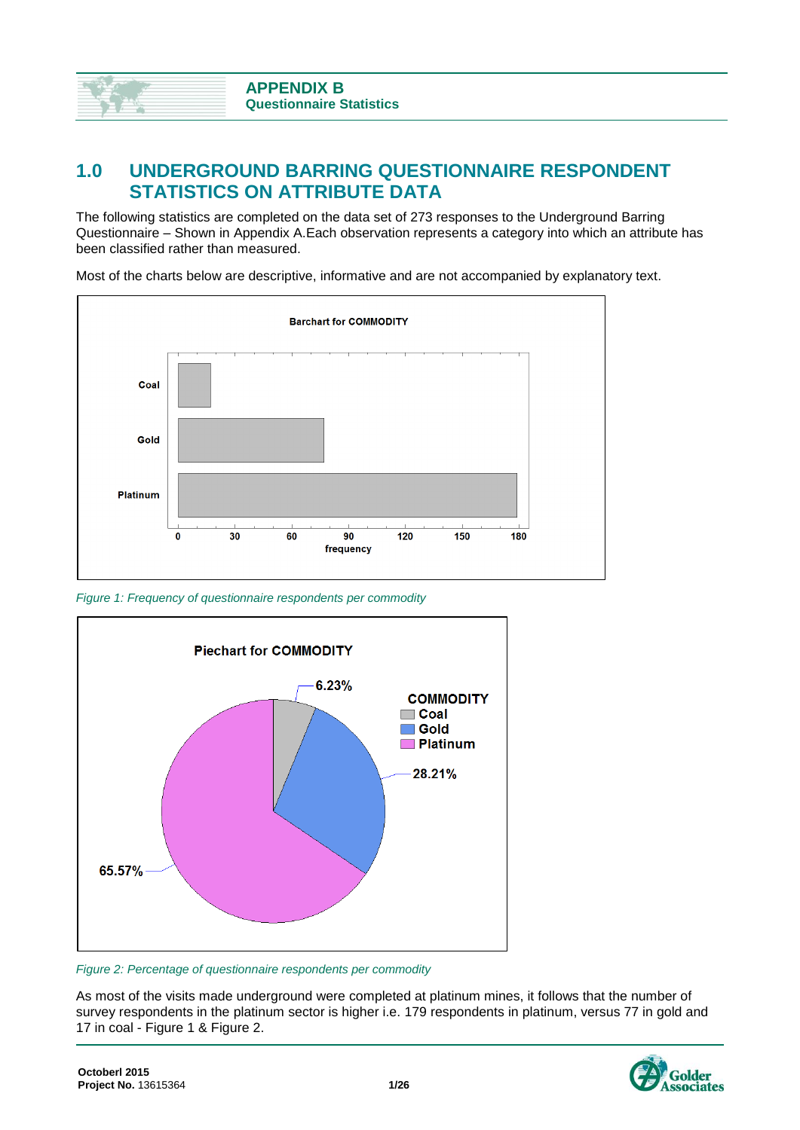# **1.0 UNDERGROUND BARRING QUESTIONNAIRE RESPONDENT STATISTICS ON ATTRIBUTE DATA**

The following statistics are completed on the data set of 273 responses to the Underground Barring Questionnaire – Shown in Appendix A.Each observation represents a category into which an attribute has been classified rather than measured.

Most of the charts below are descriptive, informative and are not accompanied by explanatory text.



<span id="page-0-0"></span>*Figure 1: Frequency of questionnaire respondents per commodity*



<span id="page-0-1"></span>*Figure 2: Percentage of questionnaire respondents per commodity*

As most of the visits made underground were completed at platinum mines, it follows that the number of survey respondents in the platinum sector is higher i.e. 179 respondents in platinum, versus 77 in gold and 17 in coal - [Figure 1](#page-0-0) & [Figure 2.](#page-0-1)

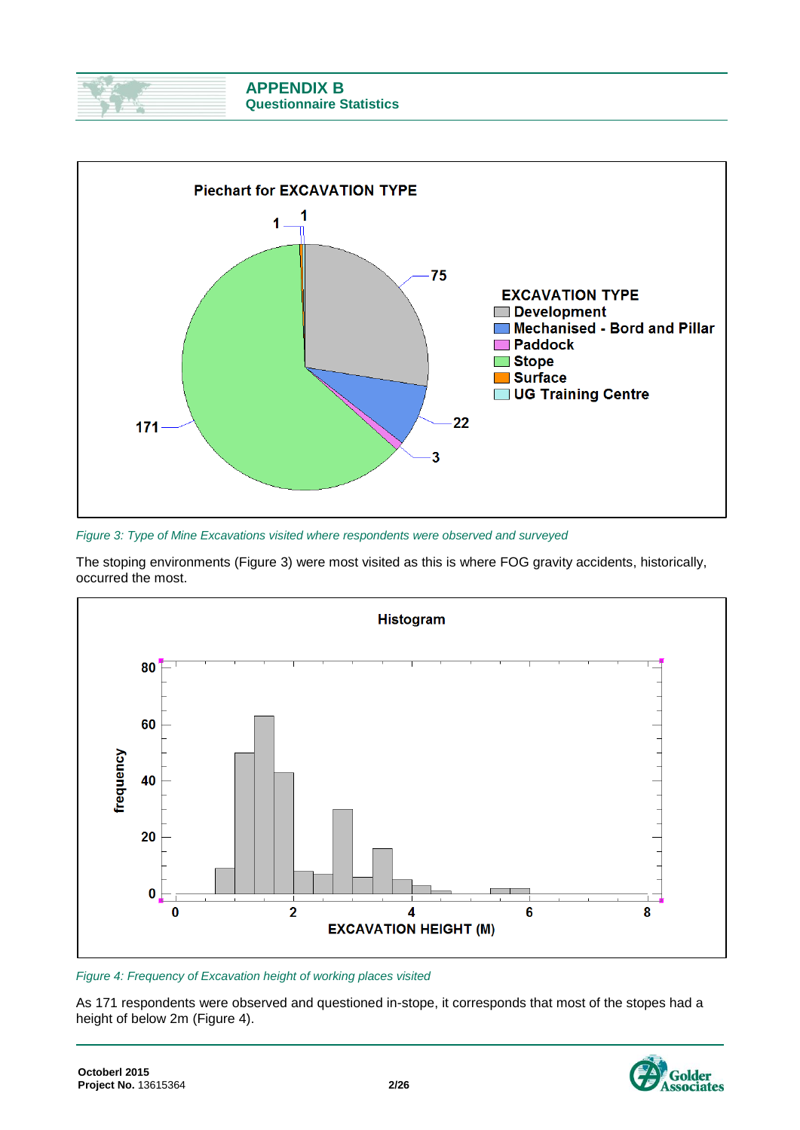



<span id="page-1-0"></span>*Figure 3: Type of Mine Excavations visited where respondents were observed and surveyed*

The stoping environments [\(Figure 3\)](#page-1-0) were most visited as this is where FOG gravity accidents, historically, occurred the most.



### <span id="page-1-1"></span>*Figure 4: Frequency of Excavation height of working places visited*

As 171 respondents were observed and questioned in-stope, it corresponds that most of the stopes had a height of below 2m [\(Figure 4\)](#page-1-1).

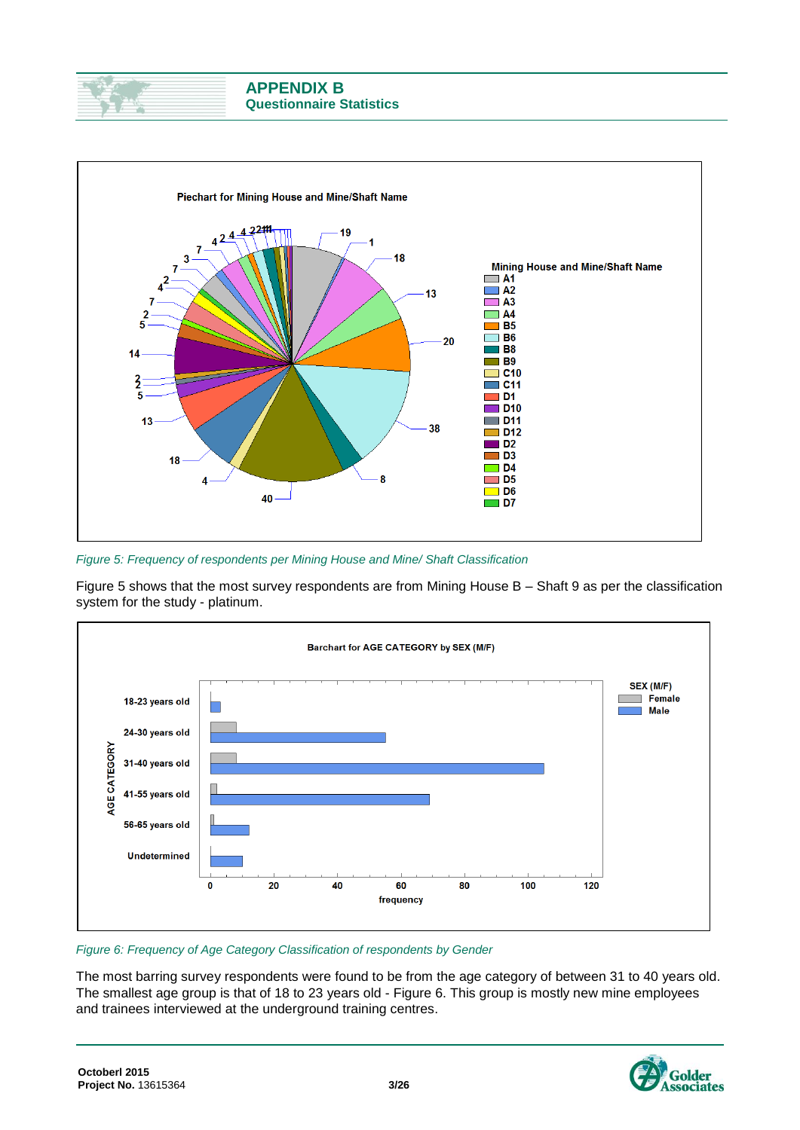



<span id="page-2-0"></span>*Figure 5: Frequency of respondents per Mining House and Mine/ Shaft Classification*

[Figure 5](#page-2-0) shows that the most survey respondents are from Mining House B – Shaft 9 as per the classification system for the study - platinum.



<span id="page-2-1"></span>*Figure 6: Frequency of Age Category Classification of respondents by Gender*

The most barring survey respondents were found to be from the age category of between 31 to 40 years old. The smallest age group is that of 18 to 23 years old - [Figure 6.](#page-2-1) This group is mostly new mine employees and trainees interviewed at the underground training centres.

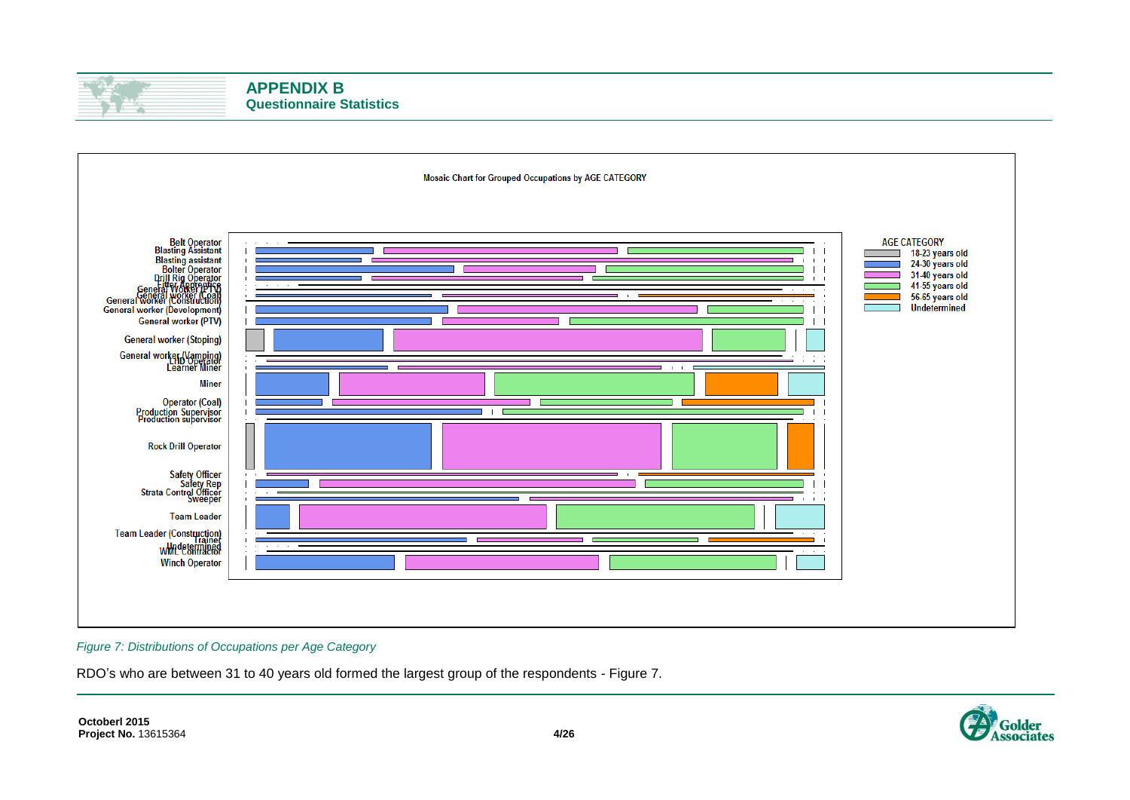



### <span id="page-3-0"></span>*Figure 7: Distributions of Occupations per Age Category*

RDO's who are between 31 to 40 years old formed the largest group of the respondents - [Figure 7.](#page-3-0)

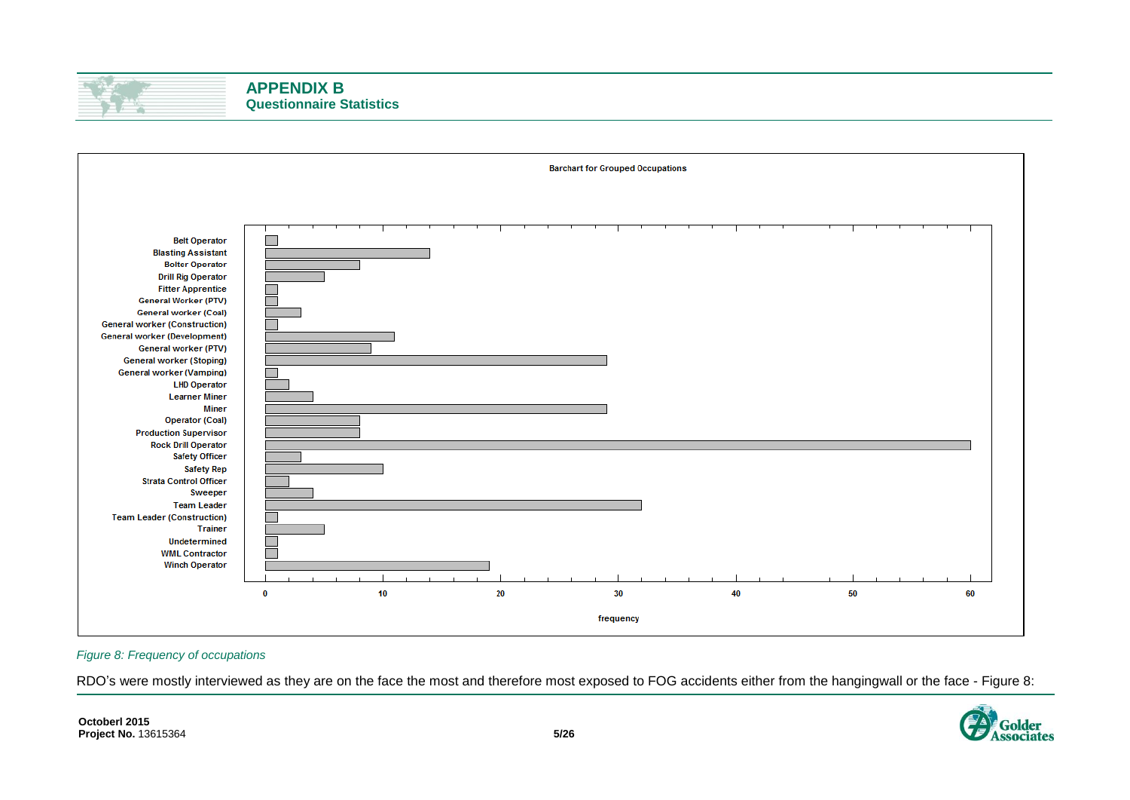



#### <span id="page-4-0"></span>*Figure 8: Frequency of occupations*

RDO's were mostly interviewed as they are on the face the most and therefore most exposed to FOG accidents either from the hangingwall or the face - [Figure 8:](#page-4-0)

ssociates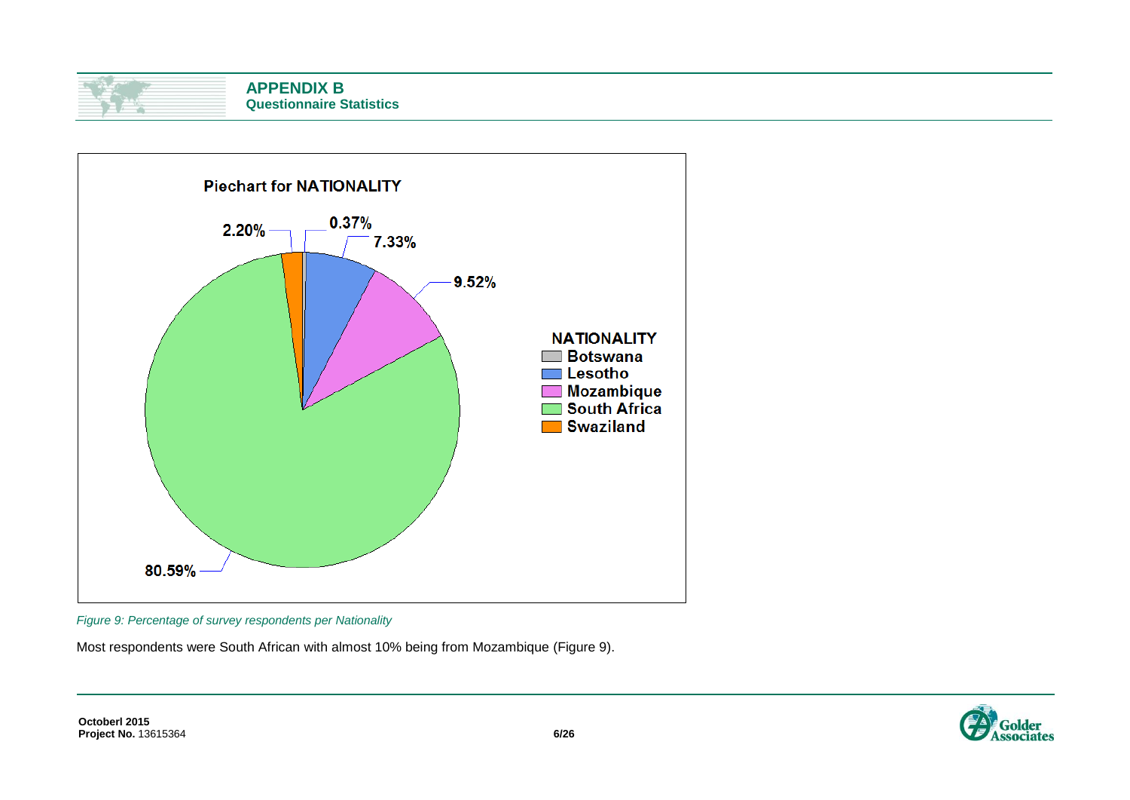



<span id="page-5-0"></span>*Figure 9: Percentage of survey respondents per Nationality*

Most respondents were South African with almost 10% being from Mozambique [\(Figure 9\)](#page-5-0).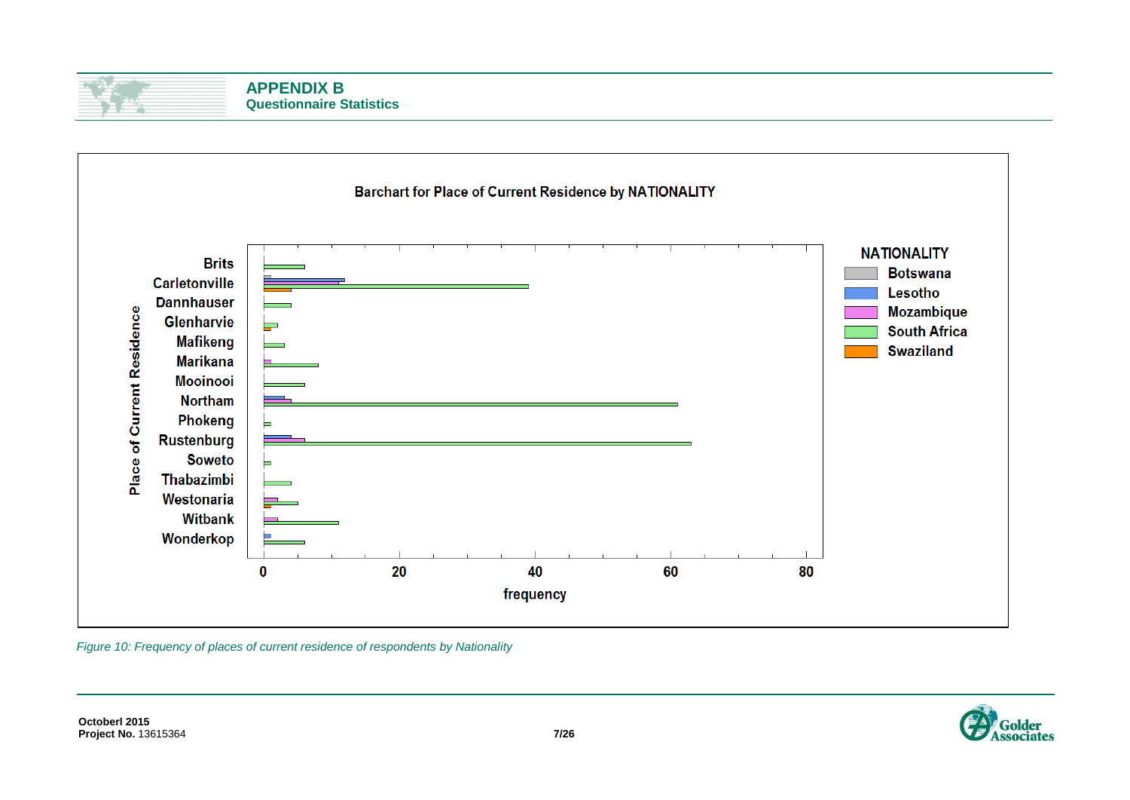

*Figure 10: Frequency of places of current residence of respondents by Nationality*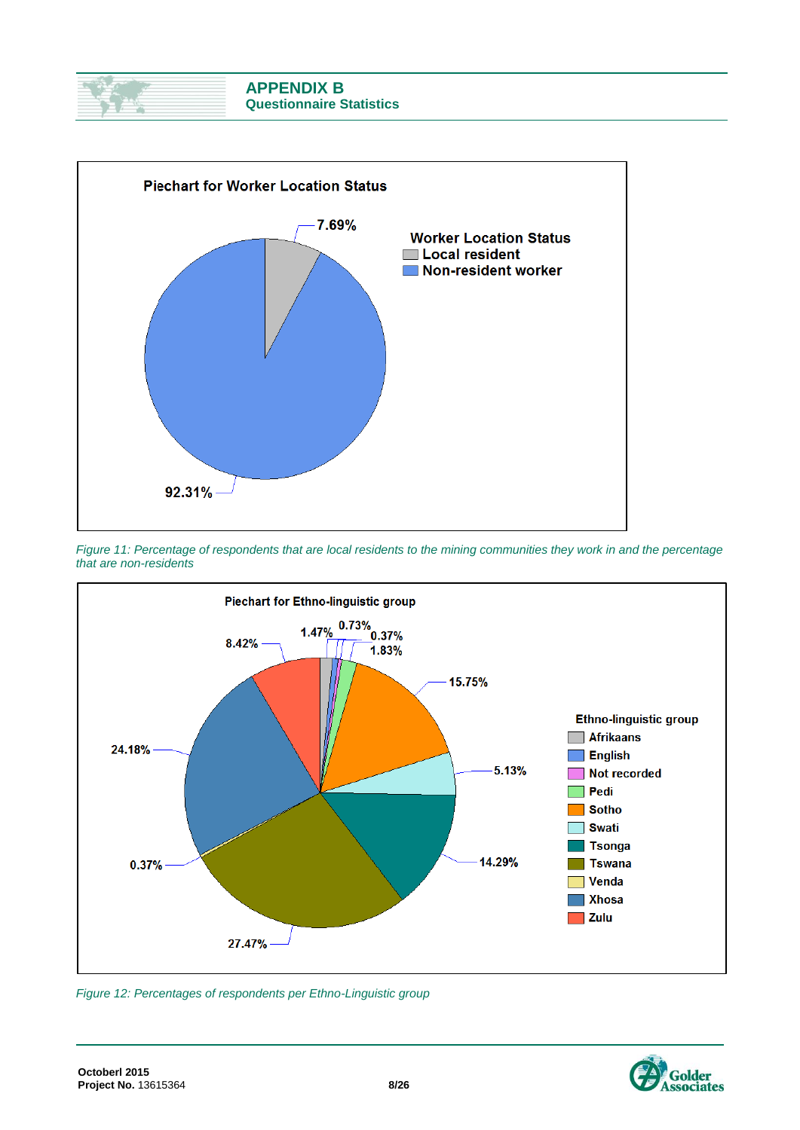



*Figure 11: Percentage of respondents that are local residents to the mining communities they work in and the percentage that are non-residents*



<span id="page-7-0"></span>*Figure 12: Percentages of respondents per Ethno-Linguistic group*

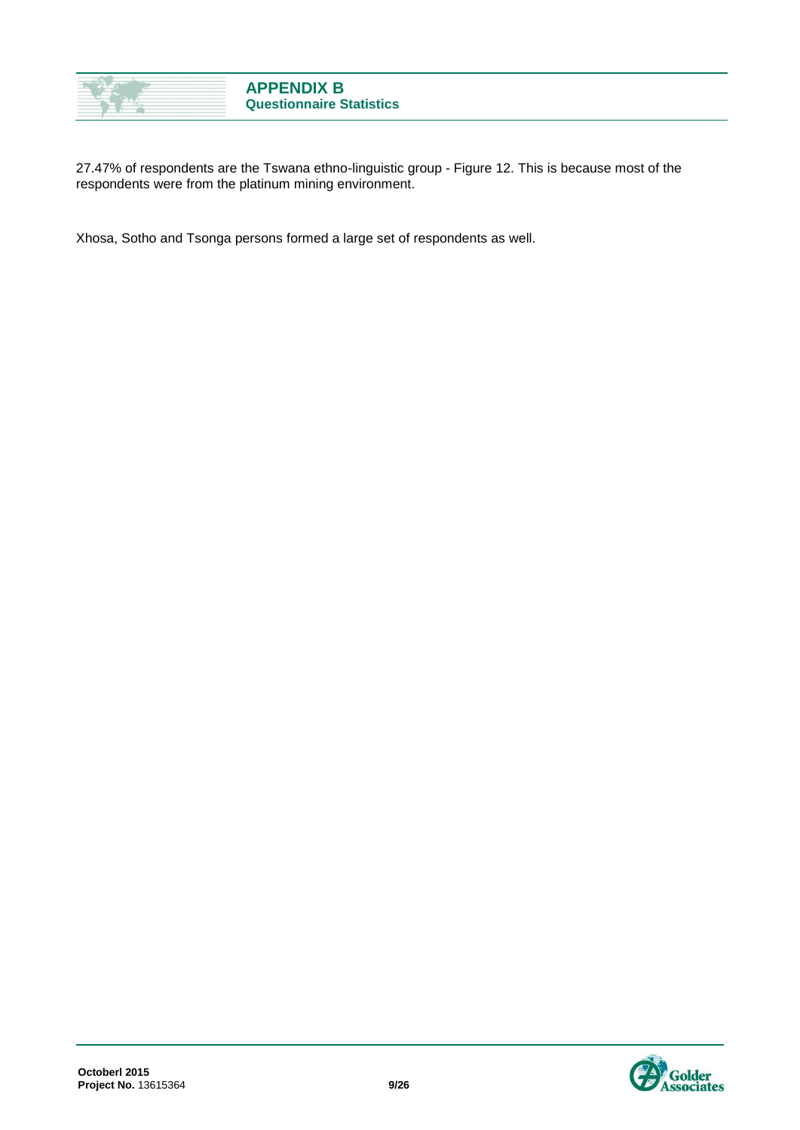

27.47% of respondents are the Tswana ethno-linguistic group - [Figure 12.](#page-7-0) This is because most of the respondents were from the platinum mining environment.

Xhosa, Sotho and Tsonga persons formed a large set of respondents as well.

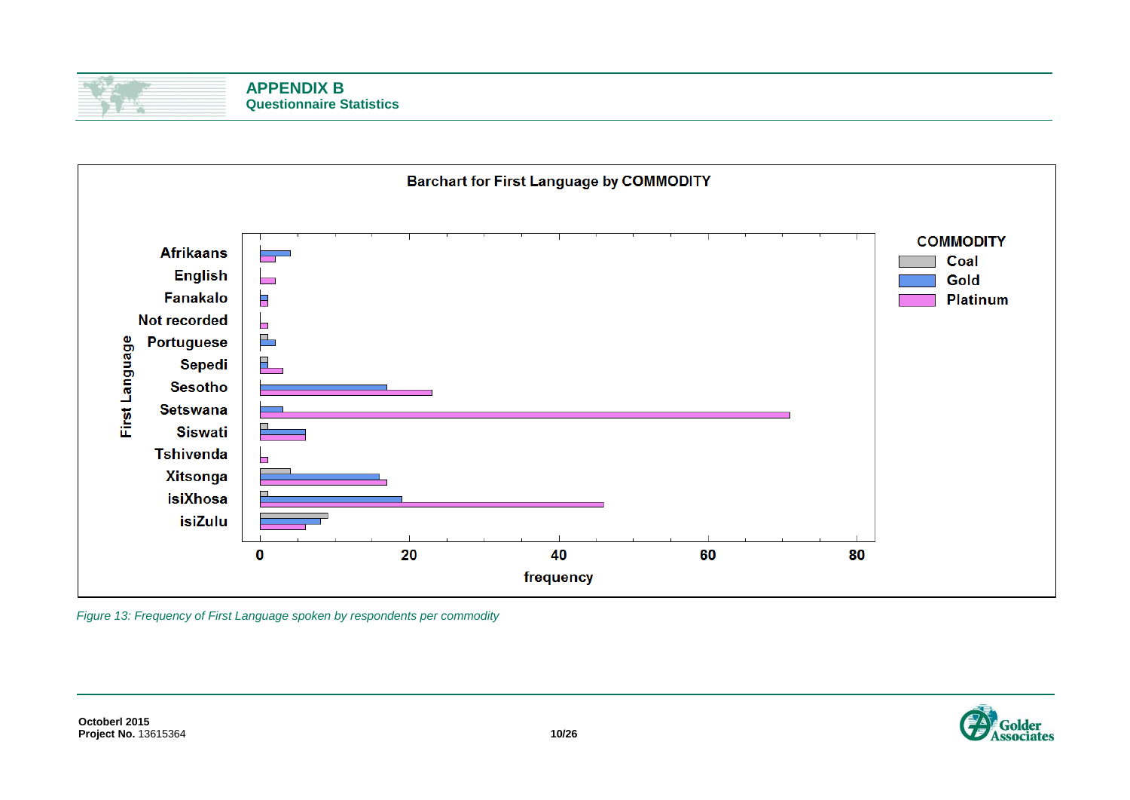| <b>APPENDIX B</b>               |
|---------------------------------|
| <b>Questionnaire Statistics</b> |



*Figure 13: Frequency of First Language spoken by respondents per commodity*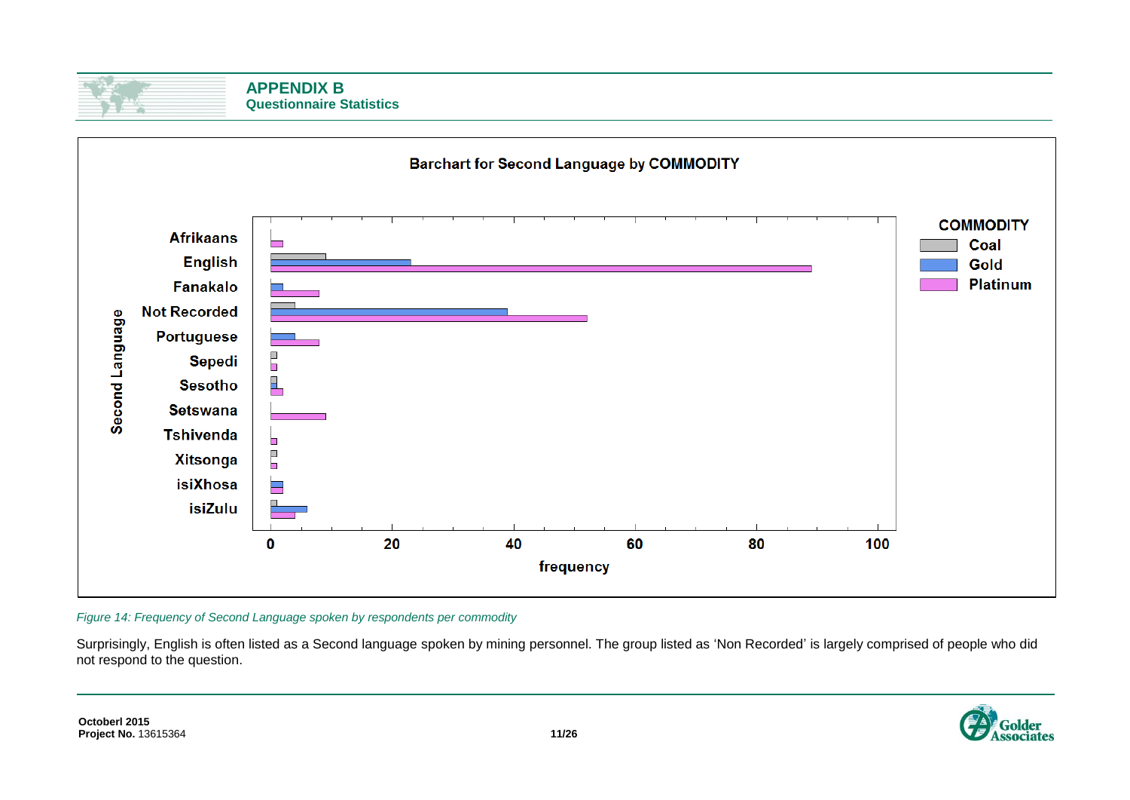

**APPENDIX B Questionnaire Statistics**



*Figure 14: Frequency of Second Language spoken by respondents per commodity*

Surprisingly, English is often listed as a Second language spoken by mining personnel. The group listed as 'Non Recorded' is largely comprised of people who did not respond to the question.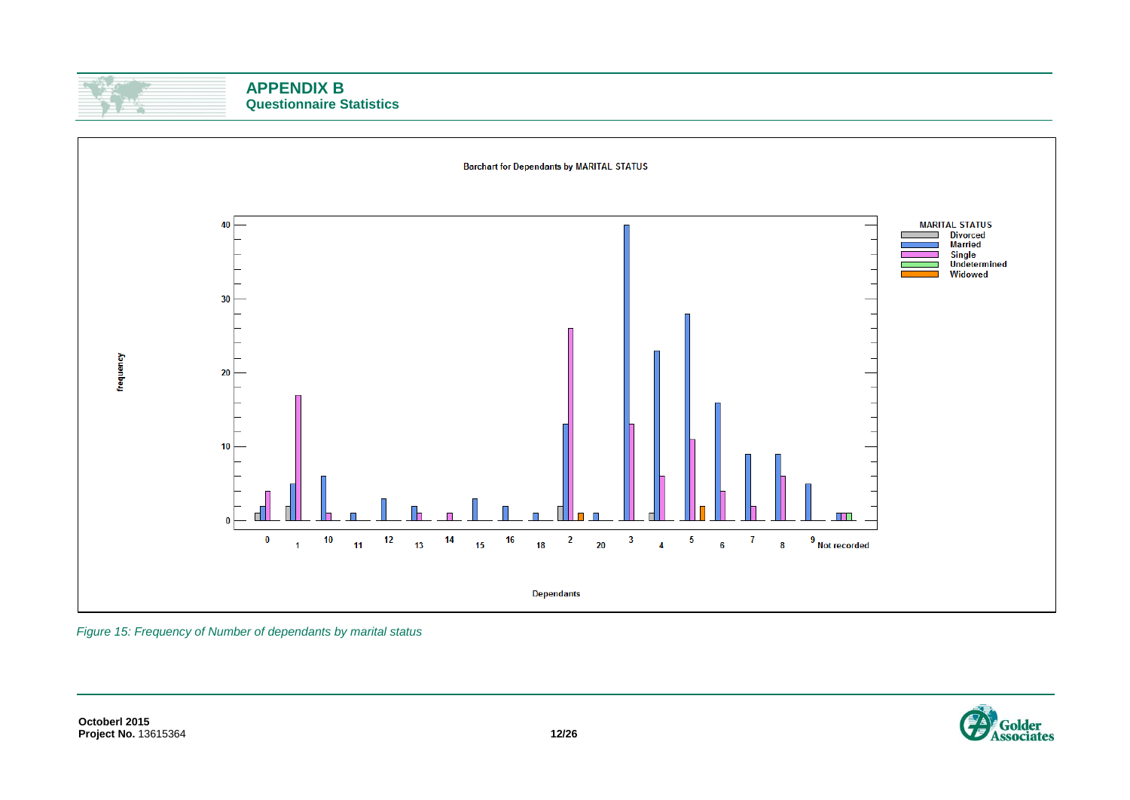



*Figure 15: Frequency of Number of dependants by marital status*

**Octoberl 2015 Project No.** 13615364 **12/26**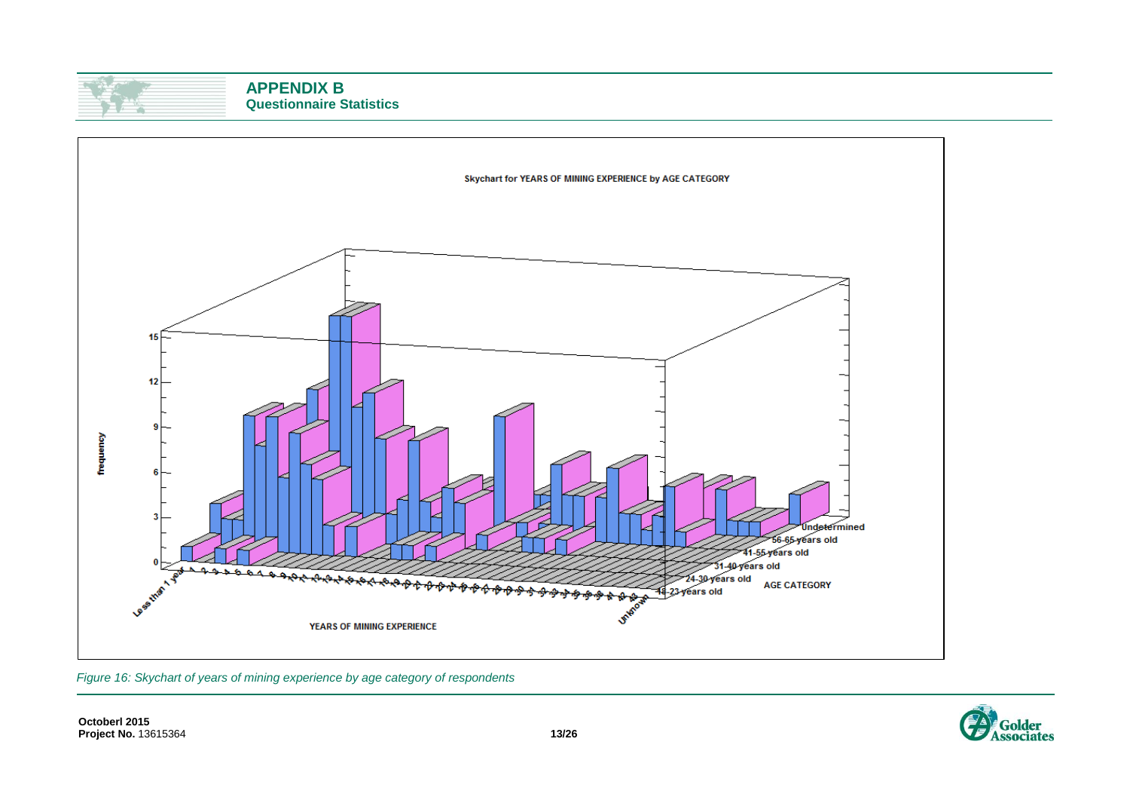



*Figure 16: Skychart of years of mining experience by age category of respondents*

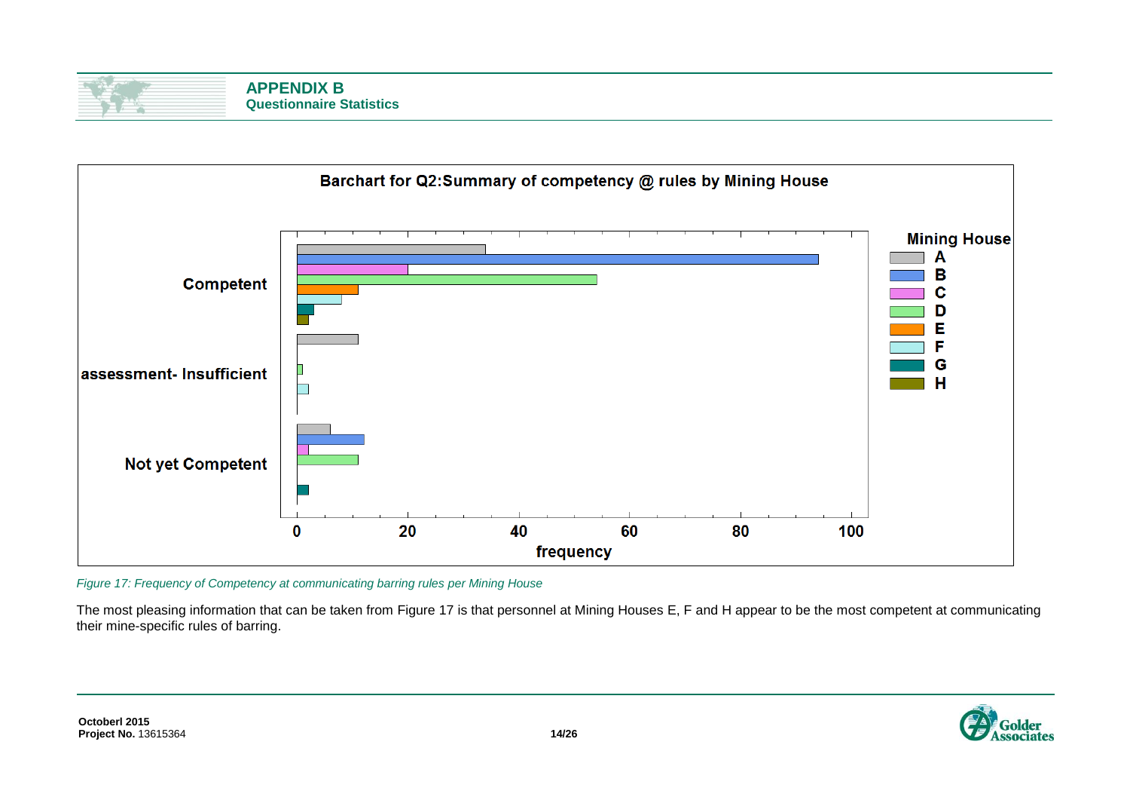| <b>APPENDIX B</b>               |
|---------------------------------|
| <b>Questionnaire Statistics</b> |



<span id="page-13-0"></span>*Figure 17: Frequency of Competency at communicating barring rules per Mining House*

The most pleasing information that can be taken from [Figure 17](#page-13-0) is that personnel at Mining Houses E, F and H appear to be the most competent at communicating their mine-specific rules of barring.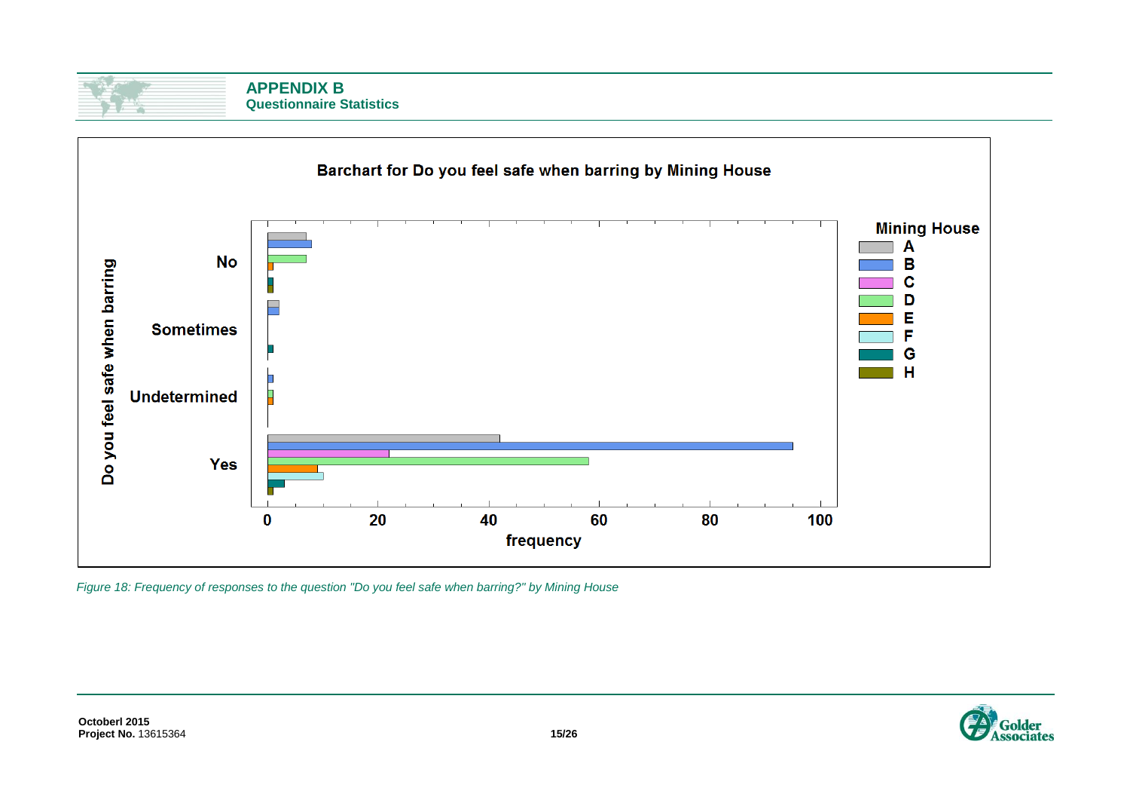| <b>APPENDIX B</b>               |
|---------------------------------|
| <b>Questionnaire Statistics</b> |



*Figure 18: Frequency of responses to the question "Do you feel safe when barring?" by Mining House*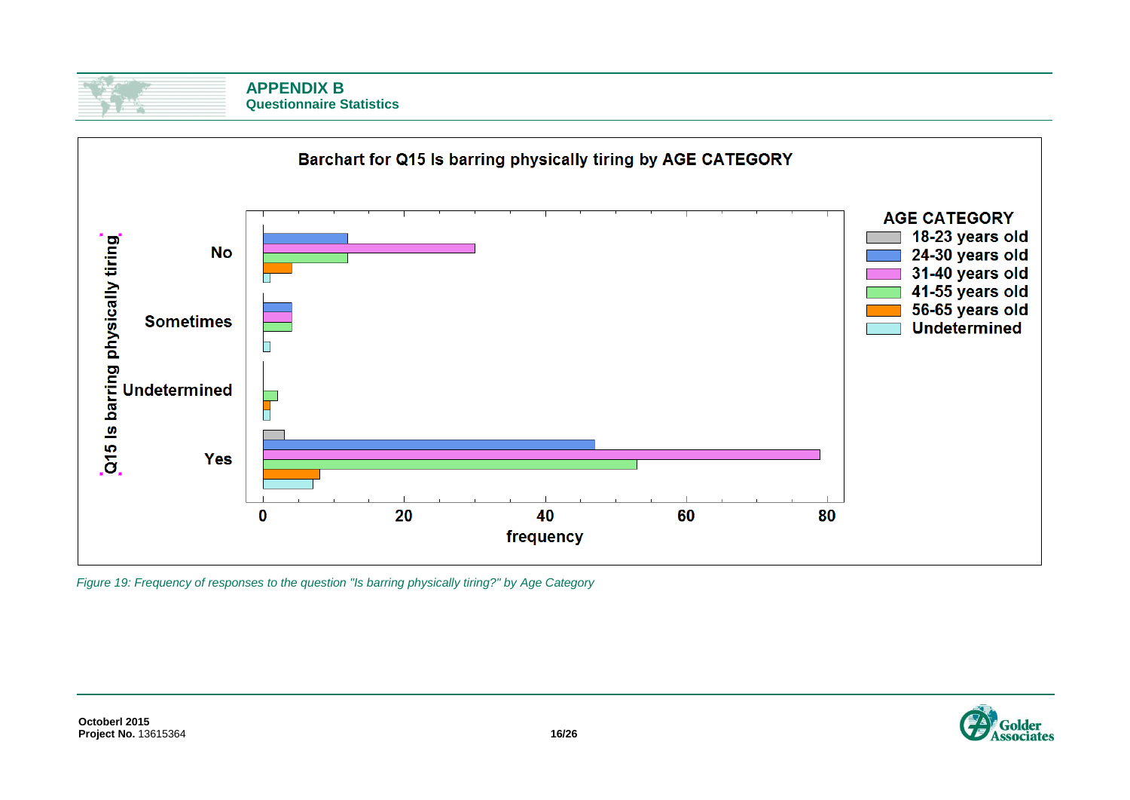| <b>APPENDIX B</b>               |
|---------------------------------|
| <b>Questionnaire Statistics</b> |



*Figure 19: Frequency of responses to the question "Is barring physically tiring?" by Age Category*

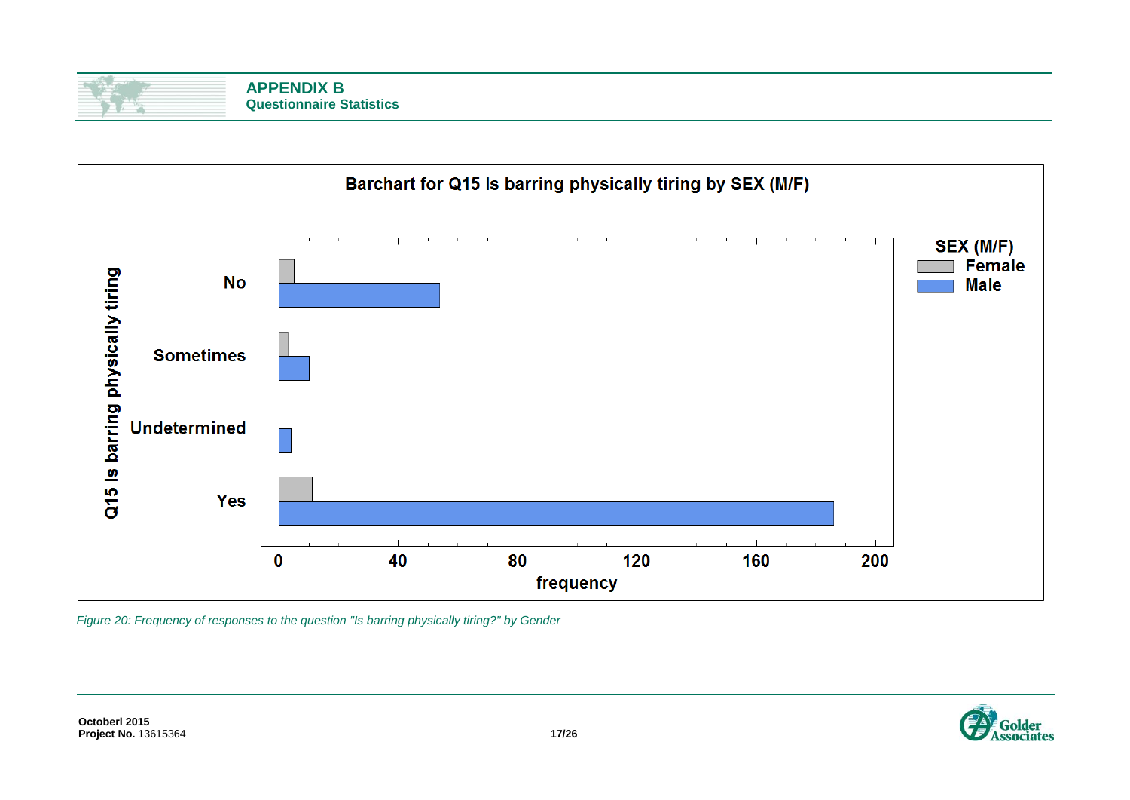| <b>APPENDIX B</b>               |
|---------------------------------|
| <b>Questionnaire Statistics</b> |



*Figure 20: Frequency of responses to the question "Is barring physically tiring?" by Gender*

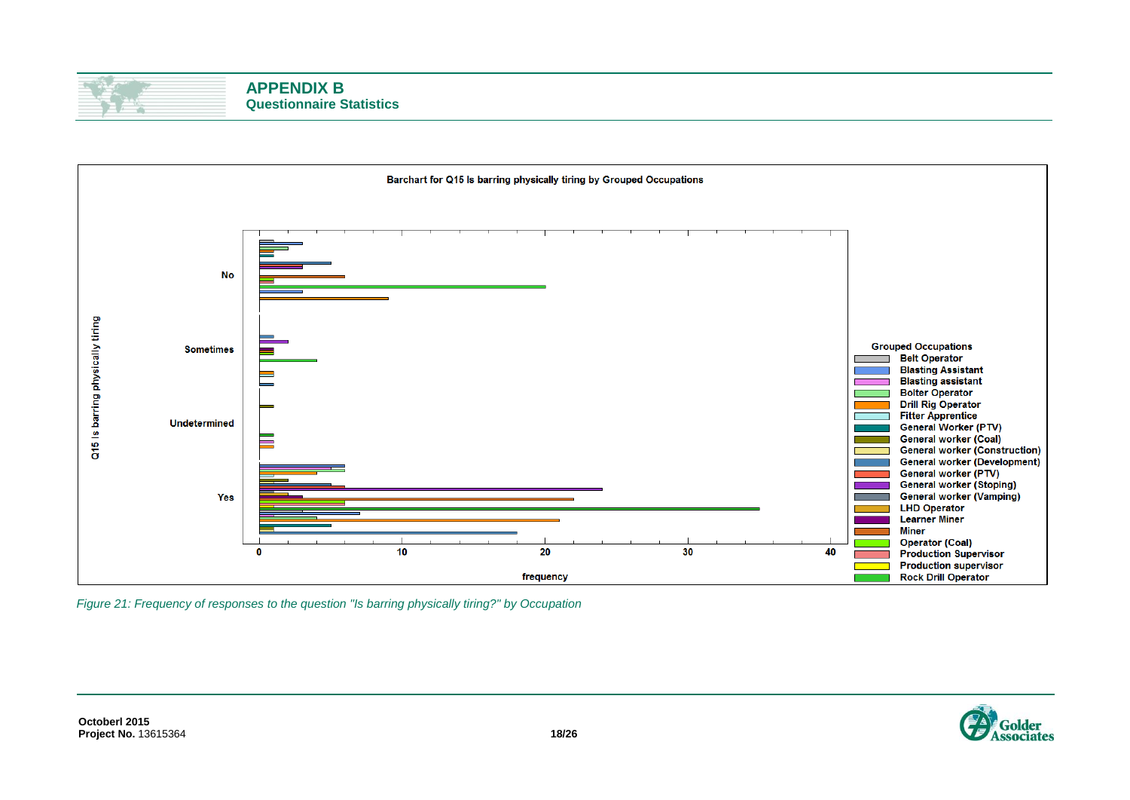



*Figure 21: Frequency of responses to the question "Is barring physically tiring?" by Occupation*

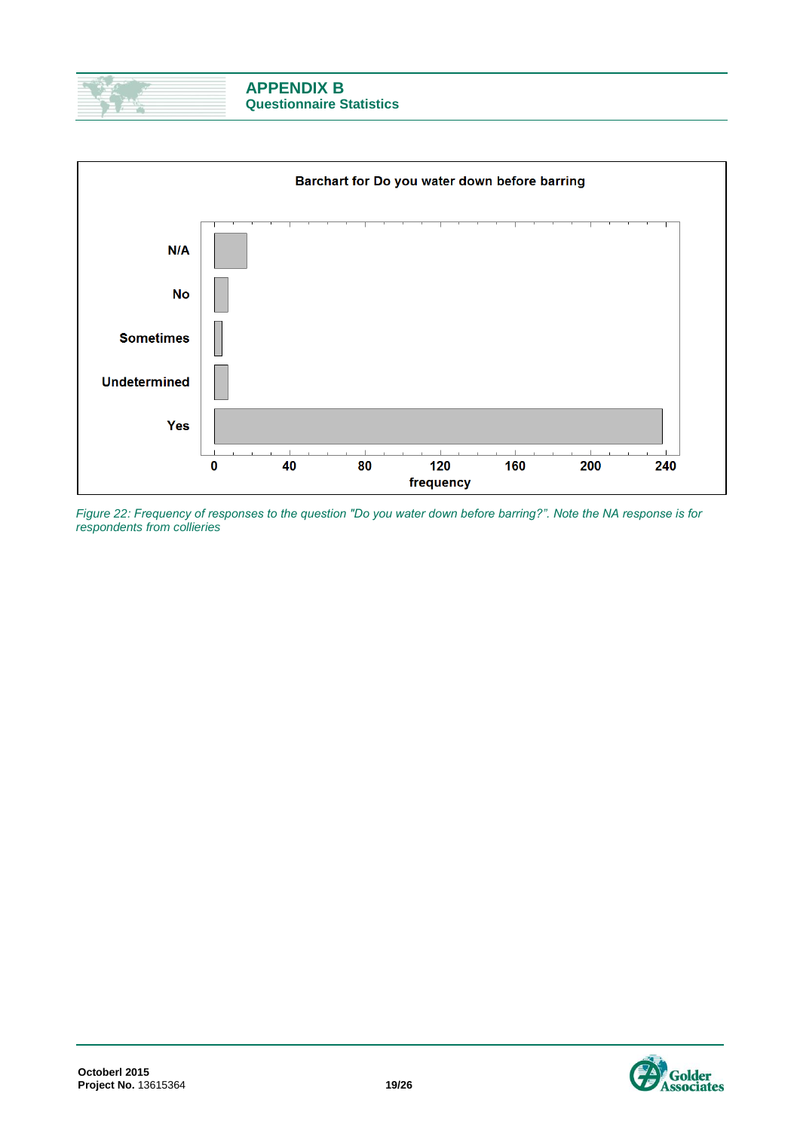



*Figure 22: Frequency of responses to the question "Do you water down before barring?". Note the NA response is for respondents from collieries*

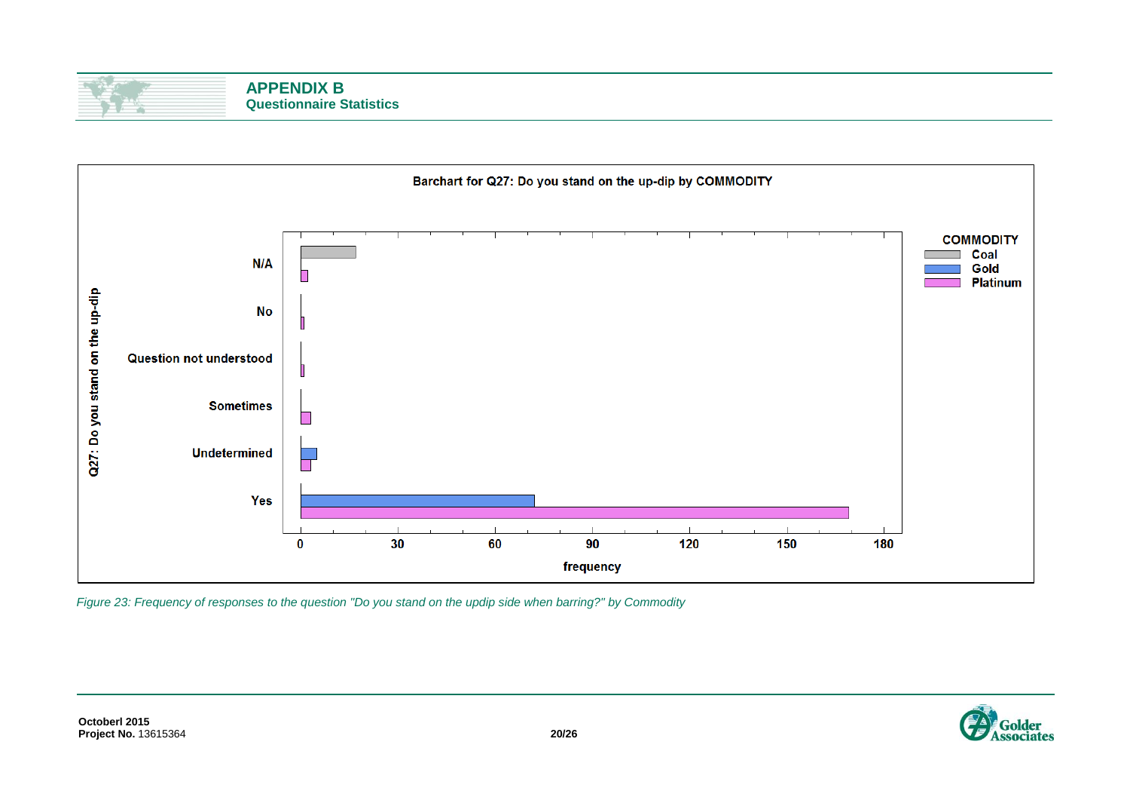



*Figure 23: Frequency of responses to the question "Do you stand on the updip side when barring?" by Commodity*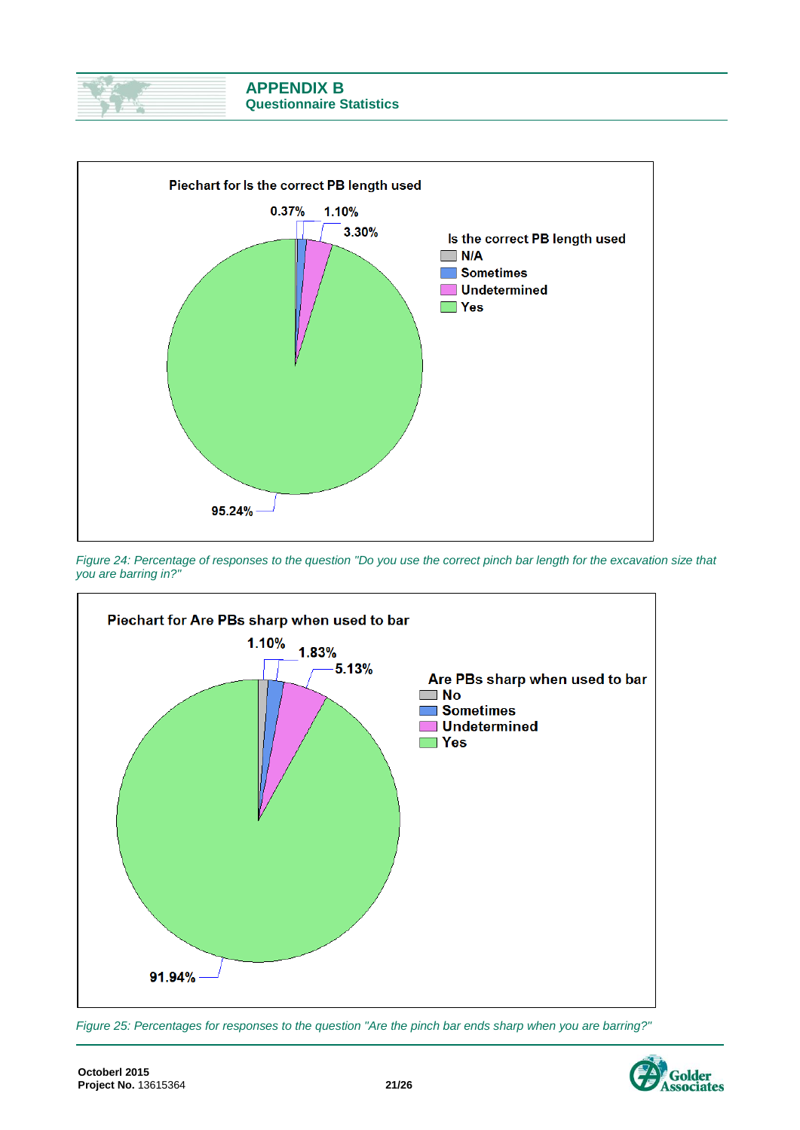



*Figure 24: Percentage of responses to the question "Do you use the correct pinch bar length for the excavation size that you are barring in?"*



*Figure 25: Percentages for responses to the question "Are the pinch bar ends sharp when you are barring?"*

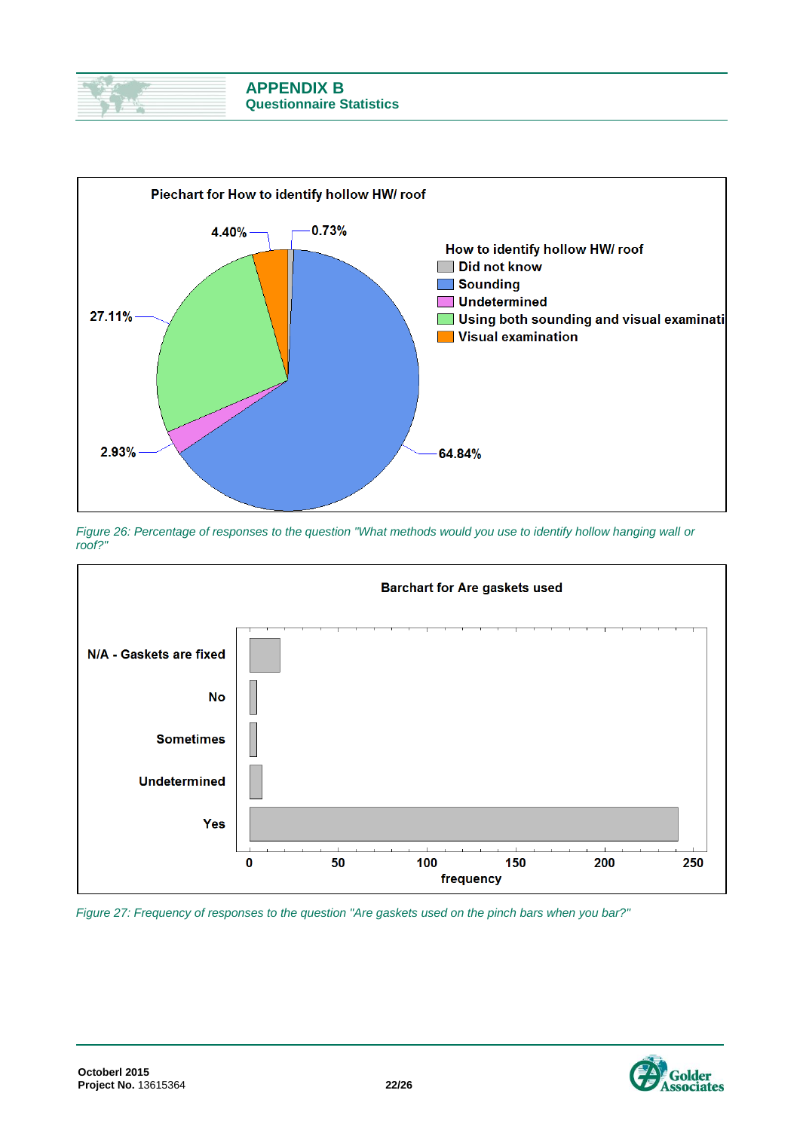



*Figure 26: Percentage of responses to the question "What methods would you use to identify hollow hanging wall or roof?"*



*Figure 27: Frequency of responses to the question "Are gaskets used on the pinch bars when you bar?"*

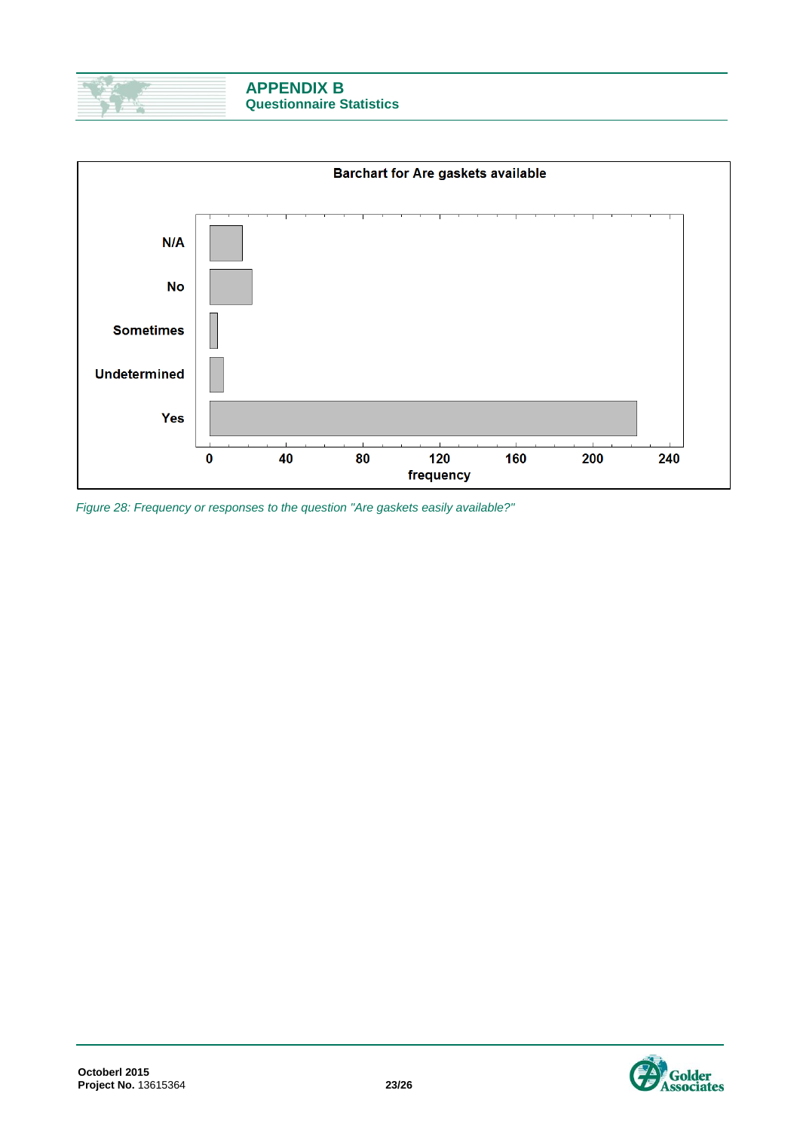



*Figure 28: Frequency or responses to the question "Are gaskets easily available?"*



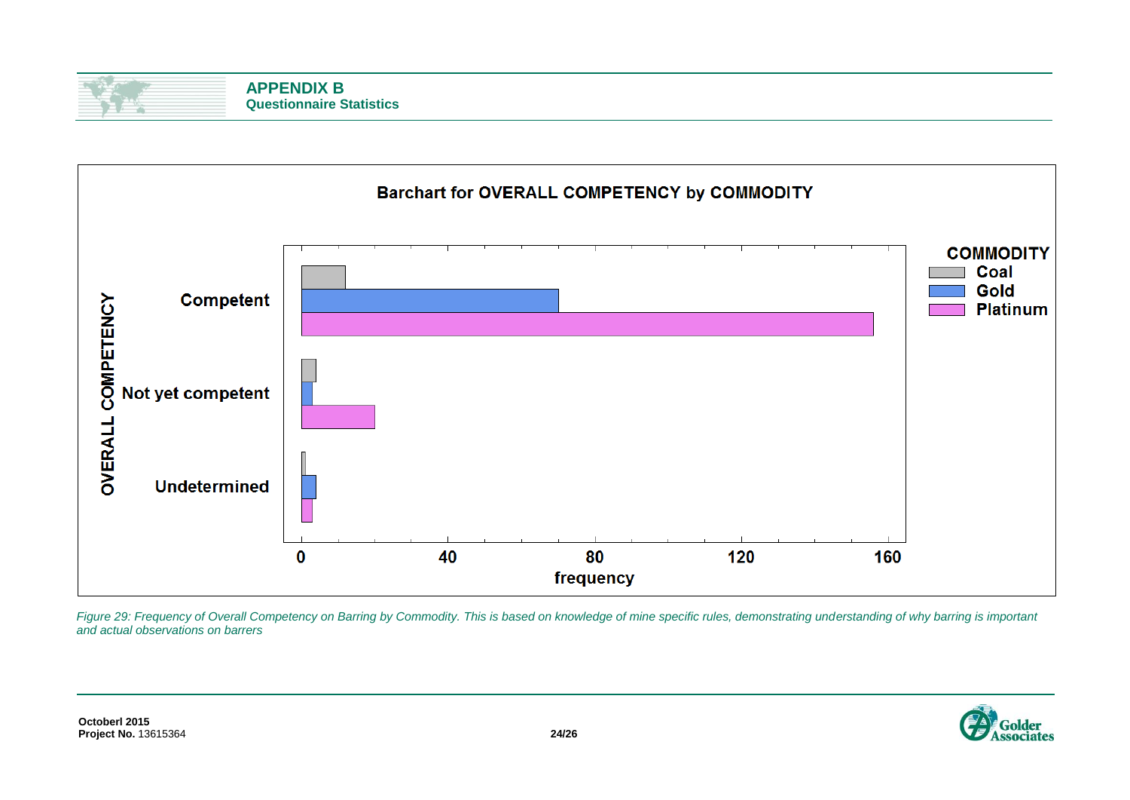



*Figure 29: Frequency of Overall Competency on Barring by Commodity. This is based on knowledge of mine specific rules, demonstrating understanding of why barring is important and actual observations on barrers*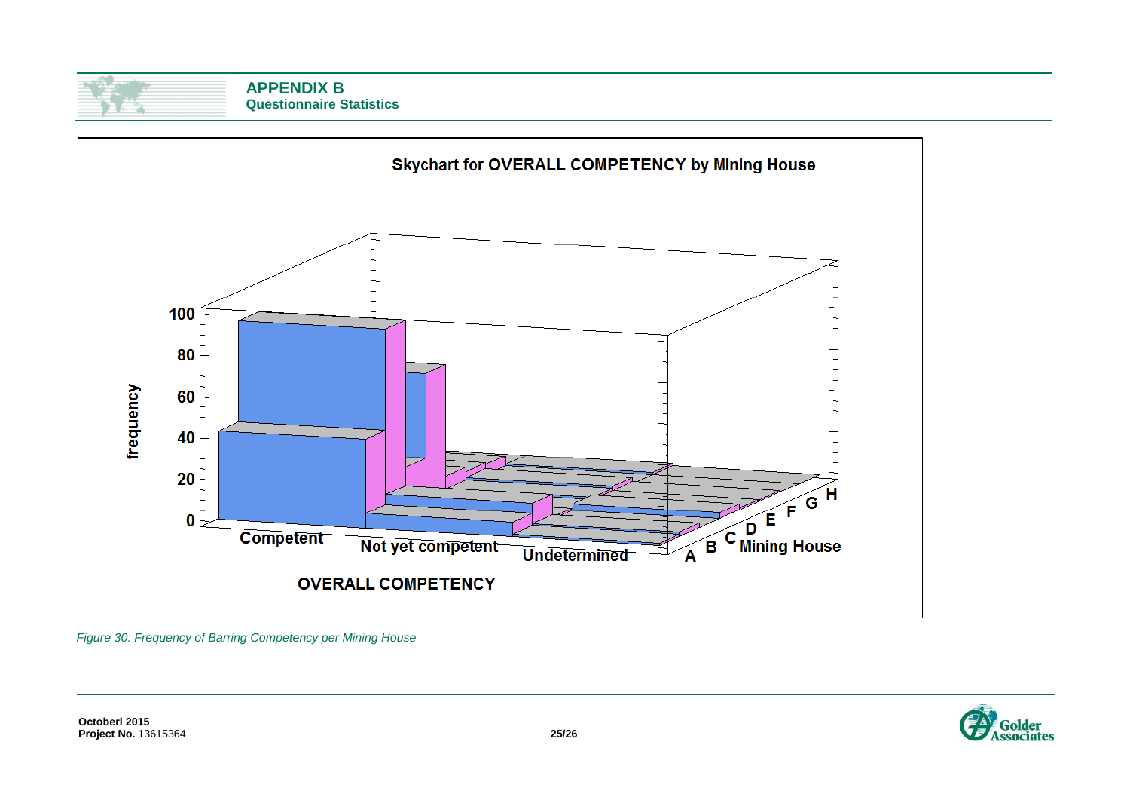



*Figure 30: Frequency of Barring Competency per Mining House*